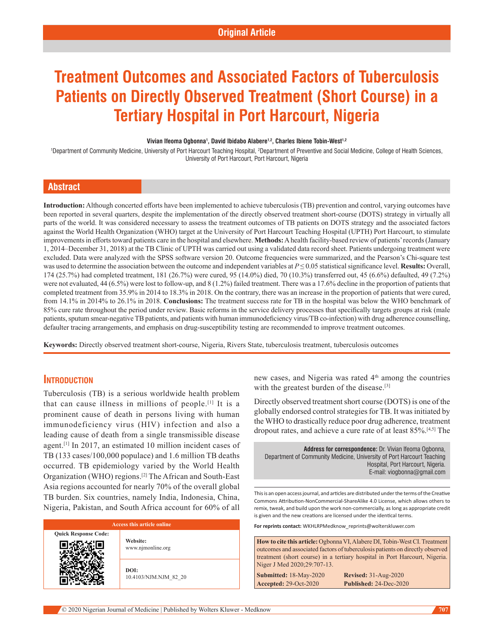# **Treatment Outcomes and Associated Factors of Tuberculosis Patients on Directly Observed Treatment (Short Course) in a Tertiary Hospital in Port Harcourt, Nigeria**

#### **Vivian Ifeoma Ogbonna1 , David Ibidabo Alabere1,2, Charles Ibiene Tobin-West1,2**

<sup>1</sup>Department of Community Medicine, University of Port Harcourt Teaching Hospital, <sup>2</sup>Department of Preventive and Social Medicine, College of Health Sciences, University of Port Harcourt, Port Harcourt, Nigeria

# **Abstract**

**Introduction:** Although concerted efforts have been implemented to achieve tuberculosis (TB) prevention and control, varying outcomes have been reported in several quarters, despite the implementation of the directly observed treatment short-course (DOTS) strategy in virtually all parts of the world. It was considered necessary to assess the treatment outcomes of TB patients on DOTS strategy and the associated factors against the World Health Organization (WHO) target at the University of Port Harcourt Teaching Hospital (UPTH) Port Harcourt, to stimulate improvements in efforts toward patients care in the hospital and elsewhere. Methods: A health facility-based review of patients' records (January 1, 2014–December 31, 2018) at the TB Clinic of UPTH was carried out using a validated data record sheet. Patients undergoing treatment were excluded. Data were analyzed with the SPSS software version 20. Outcome frequencies were summarized, and the Pearson's Chi-square test was used to determine the association between the outcome and independent variables at *P* ≤ 0.05 statistical significance level. **Results:** Overall, 174 (25.7%) had completed treatment, 181 (26.7%) were cured, 95 (14.0%) died, 70 (10.3%) transferred out, 45 (6.6%) defaulted, 49 (7.2%) were not evaluated, 44 (6.5%) were lost to follow-up, and 8 (1.2%) failed treatment. There was a 17.6% decline in the proportion of patients that completed treatment from 35.9% in 2014 to 18.3% in 2018. On the contrary, there was an increase in the proportion of patients that were cured, from 14.1% in 2014% to 26.1% in 2018. **Conclusions:** The treatment success rate for TB in the hospital was below the WHO benchmark of 85% cure rate throughout the period under review. Basic reforms in the service delivery processes that specifically targets groups at risk (male patients, sputum smear‑negative TB patients, and patients with human immunodeficiency virus/TB co-infection) with drug adherence counselling, defaulter tracing arrangements, and emphasis on drug-susceptibility testing are recommended to improve treatment outcomes.

**Keywords:** Directly observed treatment short-course, Nigeria, Rivers State, tuberculosis treatment, tuberculosis outcomes

# **Introduction**

Tuberculosis (TB) is a serious worldwide health problem that can cause illness in millions of people.[1] It is a prominent cause of death in persons living with human immunodeficiency virus (HIV) infection and also a leading cause of death from a single transmissible disease agent.[1] In 2017, an estimated 10 million incident cases of TB (133 cases/100,000 populace) and 1.6 million TB deaths occurred. TB epidemiology varied by the World Health Organization (WHO) regions.<sup>[2]</sup> The African and South-East Asia regions accounted for nearly 70% of the overall global TB burden. Six countries, namely India, Indonesia, China, Nigeria, Pakistan, and South Africa account for 60% of all

| Access this article online  |                               |  |  |  |  |
|-----------------------------|-------------------------------|--|--|--|--|
| <b>Ouick Response Code:</b> | Website:<br>www.njmonline.org |  |  |  |  |
|                             | DOI:<br>10.4103/NJM.NJM 82 20 |  |  |  |  |

new cases, and Nigeria was rated 4th among the countries with the greatest burden of the disease.<sup>[3]</sup>

Directly observed treatment short course (DOTS) is one of the globally endorsed control strategies for TB. It was initiated by the WHO to drastically reduce poor drug adherence, treatment dropout rates, and achieve a cure rate of at least 85%.[4,5] The

**Address for correspondence:** Dr. Vivian Ifeoma Ogbonna, Department of Community Medicine, University of Port Harcourt Teaching Hospital, Port Harcourt, Nigeria. E-mail: viogbonna@gmail.com

This is an open access journal, and articles are distributed under the terms of the Creative Commons Attribution‑NonCommercial‑ShareAlike 4.0 License, which allows others to remix, tweak, and build upon the work non‑commercially, as long as appropriate credit is given and the new creations are licensed under the identical terms.

**For reprints contact:** WKHLRPMedknow\_reprints@wolterskluwer.com

**How to cite this article:** Ogbonna VI, Alabere DI, Tobin-West CI. Treatment outcomes and associated factors of tuberculosis patients on directly observed treatment (short course) in a tertiary hospital in Port Harcourt, Nigeria. Niger J Med 2020;29:707-13.

**Submitted:** 18‑May‑2020 **Revised:** 31-Aug-2020 **Accepted:** 29-Oct-2020 **Published:** 24-Dec-2020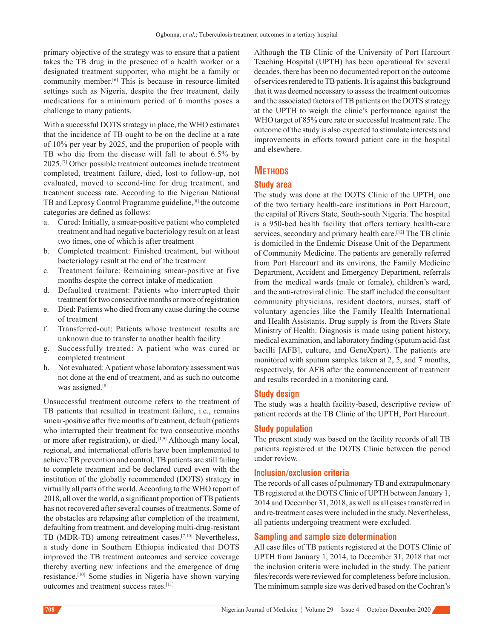primary objective of the strategy was to ensure that a patient takes the TB drug in the presence of a health worker or a designated treatment supporter, who might be a family or community member.[6] This is because in resource-limited settings such as Nigeria, despite the free treatment, daily medications for a minimum period of 6 months poses a challenge to many patients.

With a successful DOTS strategy in place, the WHO estimates that the incidence of TB ought to be on the decline at a rate of 10% per year by 2025, and the proportion of people with TB who die from the disease will fall to about 6.5% by 2025.[7] Other possible treatment outcomes include treatment completed, treatment failure, died, lost to follow‑up, not evaluated, moved to second-line for drug treatment, and treatment success rate. According to the Nigerian National TB and Leprosy Control Programme guideline,[8] the outcome categories are defined as follows:

- a. Cured: Initially, a smear‑positive patient who completed treatment and had negative bacteriology result on at least two times, one of which is after treatment
- b. Completed treatment: Finished treatment, but without bacteriology result at the end of the treatment
- c. Treatment failure: Remaining smear‑positive at five months despite the correct intake of medication
- d. Defaulted treatment: Patients who interrupted their treatment for two consecutive months or more of registration
- e. Died: Patients who died from any cause during the course of treatment
- f. Transferred-out: Patients whose treatment results are unknown due to transfer to another health facility
- g. Successfully treated: A patient who was cured or completed treatment
- h. Not evaluated: Apatient whose laboratory assessment was not done at the end of treatment, and as such no outcome was assigned.[8]

Unsuccessful treatment outcome refers to the treatment of TB patients that resulted in treatment failure, i.e., remains smear-positive after five months of treatment, default (patients who interrupted their treatment for two consecutive months or more after registration), or died.<sup>[1,9]</sup> Although many local, regional, and international efforts have been implemented to achieve TB prevention and control, TB patients are still failing to complete treatment and be declared cured even with the institution of the globally recommended (DOTS) strategy in virtually all parts of the world. According to the WHO report of 2018, all over the world, a significant proportion of TB patients has not recovered after several courses of treatments. Some of the obstacles are relapsing after completion of the treatment, defaulting from treatment, and developing multi-drug-resistant TB (MDR-TB) among retreatment cases.<sup>[7,10]</sup> Nevertheless, a study done in Southern Ethiopia indicated that DOTS improved the TB treatment outcomes and service coverage thereby averting new infections and the emergence of drug resistance.[10] Some studies in Nigeria have shown varying outcomes and treatment success rates.[11]

Although the TB Clinic of the University of Port Harcourt Teaching Hospital (UPTH) has been operational for several decades, there has been no documented report on the outcome of services rendered to TB patients. It is against this background that it was deemed necessary to assess the treatment outcomes and the associated factors of TB patients on the DOTS strategy at the UPTH to weigh the clinic's performance against the WHO target of 85% cure rate or successful treatment rate. The outcome of the study is also expected to stimulate interests and improvements in efforts toward patient care in the hospital and elsewhere.

# **Methods**

#### **Study area**

The study was done at the DOTS Clinic of the UPTH, one of the two tertiary health-care institutions in Port Harcourt, the capital of Rivers State, South‑south Nigeria. The hospital is a 950-bed health facility that offers tertiary health-care services, secondary and primary health care.<sup>[12]</sup> The TB clinic is domiciled in the Endemic Disease Unit of the Department of Community Medicine. The patients are generally referred from Port Harcourt and its environs, the Family Medicine Department, Accident and Emergency Department, referrals from the medical wards (male or female), children's ward, and the anti‑retroviral clinic. The staff included the consultant community physicians, resident doctors, nurses, staff of voluntary agencies like the Family Health International and Health Assistants. Drug supply is from the Rivers State Ministry of Health. Diagnosis is made using patient history, medical examination, and laboratory finding (sputum acid-fast bacilli [AFB], culture, and GeneXpert). The patients are monitored with sputum samples taken at 2, 5, and 7 months, respectively, for AFB after the commencement of treatment and results recorded in a monitoring card.

#### **Study design**

The study was a health facility-based, descriptive review of patient records at the TB Clinic of the UPTH, Port Harcourt.

#### **Study population**

The present study was based on the facility records of all TB patients registered at the DOTS Clinic between the period under review.

#### **Inclusion/exclusion criteria**

The records of all cases of pulmonary TB and extrapulmonary TB registered at the DOTS Clinic of UPTH between January 1, 2014 and December 31, 2018, as well as all cases transferred in and re‑treatment cases were included in the study. Nevertheless, all patients undergoing treatment were excluded.

#### **Sampling and sample size determination**

All case files of TB patients registered at the DOTS Clinic of UPTH from January 1, 2014, to December 31, 2018 that met the inclusion criteria were included in the study. The patient files/records were reviewed for completeness before inclusion. The minimum sample size was derived based on the Cochran's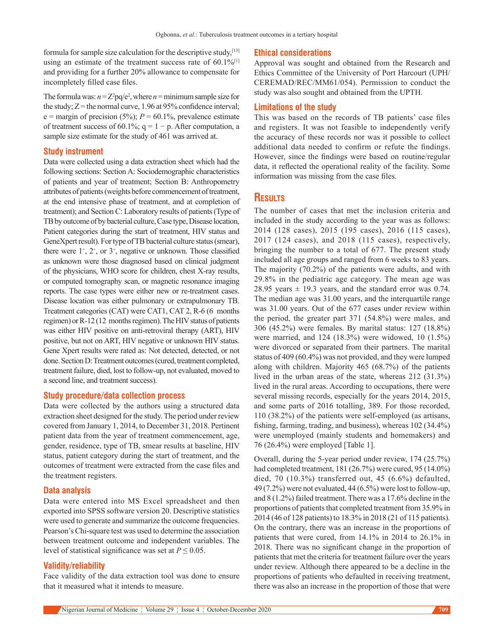formula for sample size calculation for the descriptive study, [13] using an estimate of the treatment success rate of 60.1%<sup>[1]</sup> and providing for a further 20% allowance to compensate for incompletely filled case files.

The formula was:  $n = Z^2pq/e^2$ , where  $n =$  minimum sample size for the study;  $Z$  = the normal curve, 1.96 at 95% confidence interval;  $e =$  margin of precision (5%);  $P = 60.1\%$ , prevalence estimate of treatment success of 60.1%;  $q = 1 - p$ . After computation, a sample size estimate for the study of 461 was arrived at.

#### **Study instrument**

Data were collected using a data extraction sheet which had the following sections: Section A: Sociodemographic characteristics of patients and year of treatment; Section B: Anthropometry attributes of patients(weights before commencement of treatment, at the end intensive phase of treatment, and at completion of treatment); and Section C: Laboratory results of patients(Type of TB by outcome of by bacterial culture, Case type, Disease location, Patient categories during the start of treatment, HIV status and GeneXpert result). For type of TB bacterial culture status(smear), there were  $1^{\text{+}}$ ,  $2^{\text{+}}$ , or  $3^{\text{+}}$ , negative or unknown. Those classified as unknown were those diagnosed based on clinical judgment of the physicians, WHO score for children, chest X-ray results, or computed tomography scan, or magnetic resonance imaging reports. The case types were either new or re-treatment cases. Disease location was either pulmonary or extrapulmonary TB. Treatment categories (CAT) were CAT1, CAT 2, R-6 (6 months regimen) or R-12 (12 months regimen). The HIV status of patients was either HIV positive on anti-retroviral therapy (ART), HIV positive, but not on ART, HIV negative or unknown HIV status. Gene Xpert results were rated as: Not detected, detected, or not done. Section D: Treatment outcomes(cured, treatment completed, treatment failure, died, lost to follow‑up, not evaluated, moved to a second line, and treatment success).

#### **Study procedure/data collection process**

Data were collected by the authors using a structured data extraction sheet designed for the study. The period under review covered from January 1, 2014, to December 31, 2018. Pertinent patient data from the year of treatment commencement, age, gender, residence, type of TB, smear results at baseline, HIV status, patient category during the start of treatment, and the outcomes of treatment were extracted from the case files and the treatment registers.

#### **Data analysis**

Data were entered into MS Excel spreadsheet and then exported into SPSS software version 20. Descriptive statistics were used to generate and summarize the outcome frequencies. Pearson's Chi-square test was used to determine the association between treatment outcome and independent variables. The level of statistical significance was set at  $P \le 0.05$ .

#### **Validity/reliability**

Face validity of the data extraction tool was done to ensure that it measured what it intends to measure.

#### **Ethical considerations**

Approval was sought and obtained from the Research and Ethics Committee of the University of Port Harcourt (UPH/ CEREMAD/REC/MM61/054). Permission to conduct the study was also sought and obtained from the UPTH.

#### **Limitations of the study**

This was based on the records of TB patients' case files and registers. It was not feasible to independently verify the accuracy of these records nor was it possible to collect additional data needed to confirm or refute the findings. However, since the findings were based on routine/regular data, it reflected the operational reality of the facility. Some information was missing from the case files.

# **Results**

The number of cases that met the inclusion criteria and included in the study according to the year was as follows: 2014 (128 cases), 2015 (195 cases), 2016 (115 cases), 2017 (124 cases), and 2018 (115 cases), respectively, bringing the number to a total of 677. The present study included all age groups and ranged from 6 weeks to 83 years. The majority (70.2%) of the patients were adults, and with 29.8% in the pediatric age category. The mean age was 28.95 years  $\pm$  19.3 years, and the standard error was 0.74. The median age was 31.00 years, and the interquartile range was 31.00 years. Out of the 677 cases under review within the period, the greater part 371 (54.8%) were males, and 306 (45.2%) were females. By marital status: 127 (18.8%) were married, and 124 (18.3%) were widowed, 10 (1.5%) were divorced or separated from their partners. The marital status of 409 (60.4%) was not provided, and they were lumped along with children. Majority 465 (68.7%) of the patients lived in the urban areas of the state, whereas 212 (31.3%) lived in the rural areas. According to occupations, there were several missing records, especially for the years 2014, 2015, and some parts of 2016 totalling, 389. For those recorded, 110 (38.2%) of the patients were self-employed (as artisans, fishing, farming, trading, and business), whereas 102 (34.4%) were unemployed (mainly students and homemakers) and 76 (26.4%) were employed [Table 1].

Overall, during the 5‑year period under review, 174 (25.7%) had completed treatment, 181 (26.7%) were cured, 95 (14.0%) died, 70 (10.3%) transferred out, 45 (6.6%) defaulted, 49 (7.2%) were not evaluated, 44 (6.5%) were lost to follow-up, and 8 (1.2%) failed treatment. There was a 17.6% decline in the proportions of patients that completed treatment from 35.9% in 2014 (46 of 128 patients) to 18.3% in 2018 (21 of 115 patients). On the contrary, there was an increase in the proportions of patients that were cured, from 14.1% in 2014 to 26.1% in 2018. There was no significant change in the proportion of patients that met the criteria for treatment failure over the years under review. Although there appeared to be a decline in the proportions of patients who defaulted in receiving treatment, there was also an increase in the proportion of those that were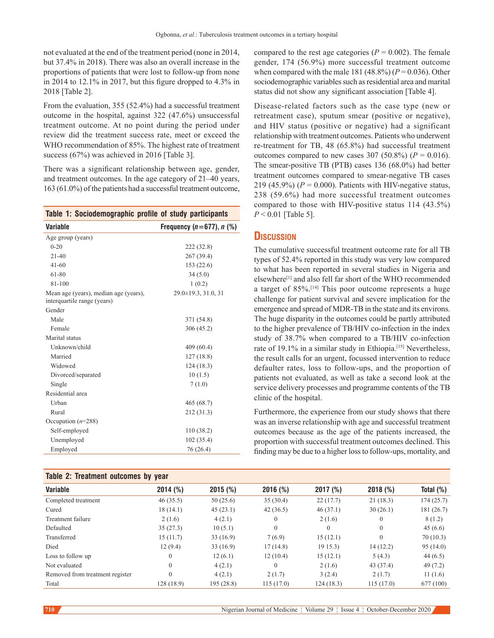not evaluated at the end of the treatment period (none in 2014, but 37.4% in 2018). There was also an overall increase in the proportions of patients that were lost to follow‑up from none in 2014 to 12.1% in 2017, but this figure dropped to 4.3% in 2018 [Table 2].

From the evaluation, 355 (52.4%) had a successful treatment outcome in the hospital, against 322 (47.6%) unsuccessful treatment outcome. At no point during the period under review did the treatment success rate, meet or exceed the WHO recommendation of 85%. The highest rate of treatment success (67%) was achieved in 2016 [Table 3].

There was a significant relationship between age, gender, and treatment outcomes. In the age category of 21–40 years, 163 (61.0%) of the patients had a successful treatment outcome,

| Table 1: Sociodemographic profile of study participants              |                                |
|----------------------------------------------------------------------|--------------------------------|
| <b>Variable</b>                                                      | Frequency $(n=677)$ , n $(\%)$ |
| Age group (years)                                                    |                                |
| $0 - 20$                                                             | 222 (32.8)                     |
| $21 - 40$                                                            | 267 (39.4)                     |
| $41 - 60$                                                            | 153(22.6)                      |
| 61-80                                                                | 34(5.0)                        |
| 81-100                                                               | 1(0.2)                         |
| Mean age (years), median age (years),<br>interquartile range (years) | $29.0 \pm 19.3, 31.0, 31$      |
| Gender                                                               |                                |
| Male                                                                 | 371 (54.8)                     |
| Female                                                               | 306 (45.2)                     |
| Marital status                                                       |                                |
| Unknown/child                                                        | 409(60.4)                      |
| Married                                                              | 127(18.8)                      |
| Widowed                                                              | 124(18.3)                      |
| Divorced/separated                                                   | 10(1.5)                        |
| Single                                                               | 7(1.0)                         |
| Residential area                                                     |                                |
| Urban                                                                | 465(68.7)                      |
| Rural                                                                | 212 (31.3)                     |
| Occupation $(n=288)$                                                 |                                |
| Self-employed                                                        | 110(38.2)                      |
| Unemployed                                                           | 102(35.4)                      |
| Employed                                                             | 76 (26.4)                      |

# **Table 2: Treatment outcomes by year**

compared to the rest age categories ( $P = 0.002$ ). The female gender, 174 (56.9%) more successful treatment outcome when compared with the male 181 (48.8%) ( $P = 0.036$ ). Other sociodemographic variables such as residential area and marital status did not show any significant association [Table 4].

Disease‑related factors such as the case type (new or retreatment case), sputum smear (positive or negative), and HIV status (positive or negative) had a significant relationship with treatment outcomes. Patients who underwent re‑treatment for TB, 48 (65.8%) had successful treatment outcomes compared to new cases 307 (50.8%) ( $P = 0.016$ ). The smear-positive TB (PTB) cases 136 (68.0%) had better treatment outcomes compared to smear‑negative TB cases 219 (45.9%) ( $P = 0.000$ ). Patients with HIV-negative status, 238 (59.6%) had more successful treatment outcomes compared to those with HIV-positive status 114 (43.5%) *P* < 0.01 [Table 5].

# **Discussion**

The cumulative successful treatment outcome rate for all TB types of 52.4% reported in this study was very low compared to what has been reported in several studies in Nigeria and elsewhere[1] and also fell far short of the WHO recommended a target of 85%.[14] This poor outcome represents a huge challenge for patient survival and severe implication for the emergence and spread of MDR‑TB in the state and its environs. The huge disparity in the outcomes could be partly attributed to the higher prevalence of TB/HIV co-infection in the index study of 38.7% when compared to a TB/HIV co-infection rate of 19.1% in a similar study in Ethiopia.<sup>[15]</sup> Nevertheless, the result calls for an urgent, focussed intervention to reduce defaulter rates, loss to follow-ups, and the proportion of patients not evaluated, as well as take a second look at the service delivery processes and programme contents of the TB clinic of the hospital.

Furthermore, the experience from our study shows that there was an inverse relationship with age and successful treatment outcomes because as the age of the patients increased, the proportion with successful treatment outcomes declined. This finding may be due to a higher loss to follow‑ups, mortality, and

| Table 2: Treatment outcomes by year |              |            |                |              |              |              |  |  |
|-------------------------------------|--------------|------------|----------------|--------------|--------------|--------------|--|--|
| <b>Variable</b>                     | 2014 (%)     | 2015(%)    | 2016(%)        | 2017 (%)     | 2018(%)      | Total $(\%)$ |  |  |
| Completed treatment                 | 46(35.5)     | 50(25.6)   | 35(30.4)       | 22(17.7)     | 21(18.3)     | 174(25.7)    |  |  |
| Cured                               | 18(14.1)     | 45(23.1)   | 42(36.5)       | 46(37.1)     | 30(26.1)     | 181(26.7)    |  |  |
| Treatment failure                   | 2(1.6)       | 4(2.1)     | $\theta$       | 2(1.6)       | $\mathbf{0}$ | 8(1.2)       |  |  |
| Defaulted                           | 35(27.3)     | 10(5.1)    | $\Omega$       | $\mathbf{0}$ | $\mathbf{0}$ | 45(6.6)      |  |  |
| Transferred                         | 15(11.7)     | 33(16.9)   | 7(6.9)         | 15(12.1)     | $\mathbf{0}$ | 70(10.3)     |  |  |
| Died                                | 12(9.4)      | 33(16.9)   | 17(14.8)       | 1915.3       | 14(12.2)     | 95(14.0)     |  |  |
| Loss to follow up                   | $\mathbf{0}$ | 12(6.1)    | 12(10.4)       | 15(12.1)     | 5(4.3)       | 44(6.5)      |  |  |
| Not evaluated                       | $\Omega$     | 4(2.1)     | $\overline{0}$ | 2(1.6)       | 43 (37.4)    | 49(7.2)      |  |  |
| Removed from treatment register     | $\Omega$     | 4(2.1)     | 2(1.7)         | 3(2.4)       | 2(1.7)       | 11(1.6)      |  |  |
| Total                               | 128 (18.9)   | 195 (28.8) | 115(17.0)      | 124(18.3)    | 115(17.0)    | 677 (100)    |  |  |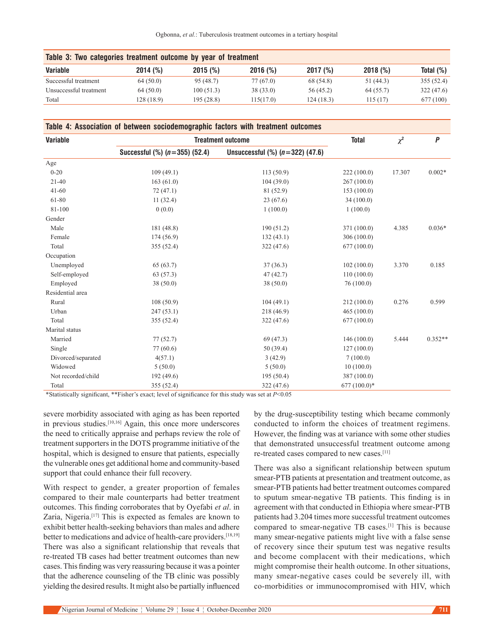| Ogbonna, et al.: Tuberculosis treatment outcomes in a tertiary hospital |  |  |  |  |
|-------------------------------------------------------------------------|--|--|--|--|
|                                                                         |  |  |  |  |

| Table 3: Two categories treatment outcome by year of treatment |            |            |           |           |           |              |  |  |
|----------------------------------------------------------------|------------|------------|-----------|-----------|-----------|--------------|--|--|
| <b>Variable</b>                                                | 2014(%)    | 2015(%)    | 2016(%)   | 2017(%)   | 2018(%)   | Total $(\%)$ |  |  |
| Successful treatment                                           | 64(50.0)   | 95 (48.7)  | 77 (67.0) | 68 (54.8) | 51 (44.3) | 355(52.4)    |  |  |
| Unsuccessful treatment                                         | 64(50.0)   | 100(51.3)  | 38(33.0)  | 56 (45.2) | 64(55.7)  | 322 (47.6)   |  |  |
| Total                                                          | 128 (18.9) | 195 (28.8) | 115(17.0) | 124(18.3) | 115(17)   | 677 (100)    |  |  |

| Table 4: Association of between sociodemographic factors with treatment outcomes |  |  |  |
|----------------------------------------------------------------------------------|--|--|--|
|----------------------------------------------------------------------------------|--|--|--|

| <b>Variable</b>    |                                      | <b>Treatment outcome</b>               |               |        | $\boldsymbol{P}$ |
|--------------------|--------------------------------------|----------------------------------------|---------------|--------|------------------|
|                    | Successful $(\%)$ ( $n=355$ ) (52.4) | Unsuccessful $(\%)$ ( $n=322$ ) (47.6) |               |        |                  |
| Age                |                                      |                                        |               |        |                  |
| $0 - 20$           | 109(49.1)                            | 113(50.9)                              | 222 (100.0)   | 17.307 | $0.002*$         |
| $21 - 40$          | 163(61.0)                            | 104(39.0)                              | 267 (100.0)   |        |                  |
| $41 - 60$          | 72(47.1)                             | 81 (52.9)                              | 153(100.0)    |        |                  |
| 61-80              | 11(32.4)                             | 23(67.6)                               | 34 (100.0)    |        |                  |
| 81-100             | 0(0.0)                               | 1(100.0)                               | 1(100.0)      |        |                  |
| Gender             |                                      |                                        |               |        |                  |
| Male               | 181 (48.8)                           | 190(51.2)                              | 371 (100.0)   | 4.385  | $0.036*$         |
| Female             | 174(56.9)                            | 132(43.1)                              | 306 (100.0)   |        |                  |
| Total              | 355 (52.4)                           | 322(47.6)                              | 677 (100.0)   |        |                  |
| Occupation         |                                      |                                        |               |        |                  |
| Unemployed         | 65(63.7)                             | 37(36.3)                               | 102(100.0)    | 3.370  | 0.185            |
| Self-employed      | 63 (57.3)                            | 47(42.7)                               | 110(100.0)    |        |                  |
| Employed           | 38(50.0)                             | 38(50.0)                               | 76(100.0)     |        |                  |
| Residential area   |                                      |                                        |               |        |                  |
| Rural              | 108(50.9)                            | 104(49.1)                              | 212 (100.0)   | 0.276  | 0.599            |
| Urban              | 247(53.1)                            | 218(46.9)                              | 465(100.0)    |        |                  |
| Total              | 355 (52.4)                           | 322 (47.6)                             | 677 (100.0)   |        |                  |
| Marital status     |                                      |                                        |               |        |                  |
| Married            | 77(52.7)                             | 69 (47.3)                              | 146(100.0)    | 5.444  | $0.352**$        |
| Single             | 77 (60.6)                            | 50 (39.4)                              | 127(100.0)    |        |                  |
| Divorced/separated | 4(57.1)                              | 3(42.9)                                | 7(100.0)      |        |                  |
| Widowed            | 5(50.0)                              | 5(50.0)                                | 10(100.0)     |        |                  |
| Not recorded/child | 192(49.6)                            | 195(50.4)                              | 387 (100.0)   |        |                  |
| Total              | 355 (52.4)                           | 322 (47.6)                             | $677(100.0)*$ |        |                  |

\*Statistically significant, \*\*Fisher's exact; level of significance for this study was set at *P*<0.05

severe morbidity associated with aging as has been reported in previous studies.<sup>[10,16]</sup> Again, this once more underscores the need to critically appraise and perhaps review the role of treatment supporters in the DOTS programme initiative of the hospital, which is designed to ensure that patients, especially the vulnerable ones get additional home and community‑based support that could enhance their full recovery.

With respect to gender, a greater proportion of females compared to their male counterparts had better treatment outcomes. This finding corroborates that by Oyefabi *et al*. in Zaria, Nigeria.<sup>[17]</sup> This is expected as females are known to exhibit better health-seeking behaviors than males and adhere better to medications and advice of health-care providers.<sup>[18,19]</sup> There was also a significant relationship that reveals that re-treated TB cases had better treatment outcomes than new cases. This finding was very reassuring because it was a pointer that the adherence counseling of the TB clinic was possibly yielding the desired results. It might also be partially influenced by the drug‑susceptibility testing which became commonly conducted to inform the choices of treatment regimens. However, the finding was at variance with some other studies that demonstrated unsuccessful treatment outcome among re-treated cases compared to new cases.<sup>[11]</sup>

There was also a significant relationship between sputum smear‑PTB patients at presentation and treatment outcome, as smear‑PTB patients had better treatment outcomes compared to sputum smear‑negative TB patients. This finding is in agreement with that conducted in Ethiopia where smear-PTB patients had 3.204 times more successful treatment outcomes compared to smear-negative TB cases.<sup>[1]</sup> This is because many smear-negative patients might live with a false sense of recovery since their sputum test was negative results and become complacent with their medications, which might compromise their health outcome. In other situations, many smear-negative cases could be severely ill, with co‑morbidities or immunocompromised with HIV, which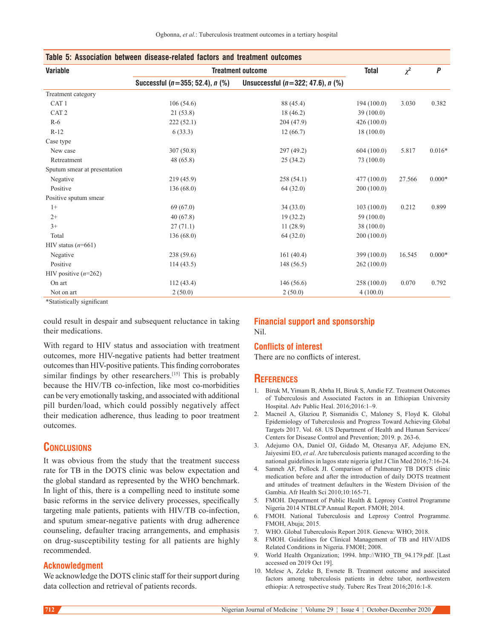| Variable                     | <b>Treatment outcome</b>              | <b>Total</b>                            | $\chi^2$    | P      |          |
|------------------------------|---------------------------------------|-----------------------------------------|-------------|--------|----------|
|                              | Successful ( $n=355$ ; 52.4), $n$ (%) | Unsuccessful ( $n=322; 47.6$ ), $n$ (%) |             |        |          |
| Treatment category           |                                       |                                         |             |        |          |
| CAT <sub>1</sub>             | 106(54.6)                             | 88 (45.4)                               | 194(100.0)  | 3.030  | 0.382    |
| CAT <sub>2</sub>             | 21(53.8)                              | 18(46.2)                                | 39(100.0)   |        |          |
| $R-6$                        | 222(52.1)                             | 204 (47.9)                              | 426(100.0)  |        |          |
| $R-12$                       | 6(33.3)                               | 12(66.7)                                | 18(100.0)   |        |          |
| Case type                    |                                       |                                         |             |        |          |
| New case                     | 307(50.8)                             | 297 (49.2)                              | 604(100.0)  | 5.817  | $0.016*$ |
| Retreatment                  | 48(65.8)                              | 25(34.2)                                | 73 (100.0)  |        |          |
| Sputum smear at presentation |                                       |                                         |             |        |          |
| Negative                     | 219 (45.9)                            | 258(54.1)                               | 477(100.0)  | 27.566 | $0.000*$ |
| Positive                     | 136(68.0)                             | 64(32.0)                                | 200(100.0)  |        |          |
| Positive sputum smear        |                                       |                                         |             |        |          |
| $1+$                         | 69 (67.0)                             | 34(33.0)                                | 103(100.0)  | 0.212  | 0.899    |
| $2+$                         | 40(67.8)                              | 19(32.2)                                | 59 (100.0)  |        |          |
| $3+$                         | 27(71.1)                              | 11(28.9)                                | 38(100.0)   |        |          |
| Total                        | 136(68.0)                             | 64(32.0)                                | 200(100.0)  |        |          |
| HIV status $(n=661)$         |                                       |                                         |             |        |          |
| Negative                     | 238(59.6)                             | 161(40.4)                               | 399 (100.0) | 16.545 | $0.000*$ |
| Positive                     | 114(43.5)                             | 148(56.5)                               | 262(100.0)  |        |          |
| HIV positive $(n=262)$       |                                       |                                         |             |        |          |
| On art                       | 112(43.4)                             | 146(56.6)                               | 258 (100.0) | 0.070  | 0.792    |
| Not on art                   | 2(50.0)                               | 2(50.0)                                 | 4(100.0)    |        |          |

\*Statistically significant

could result in despair and subsequent reluctance in taking their medications.

With regard to HIV status and association with treatment outcomes, more HIV‑negative patients had better treatment outcomes than HIV‑positive patients. This finding corroborates similar findings by other researchers.<sup>[15]</sup> This is probably because the HIV/TB co‑infection, like most co-morbidities can be very emotionally tasking, and associated with additional pill burden/load, which could possibly negatively affect their medication adherence, thus leading to poor treatment outcomes.

# **Conclusions**

It was obvious from the study that the treatment success rate for TB in the DOTS clinic was below expectation and the global standard as represented by the WHO benchmark. In light of this, there is a compelling need to institute some basic reforms in the service delivery processes, specifically targeting male patients, patients with HIV/TB co-infection, and sputum smear‑negative patients with drug adherence counseling, defaulter tracing arrangements, and emphasis on drug‑susceptibility testing for all patients are highly recommended.

#### **Acknowledgment**

We acknowledge the DOTS clinic staff for their support during data collection and retrieval of patients records.

# **Financial support and sponsorship** Nil.

# **Conflicts of interest**

There are no conflicts of interest.

# **References**

- 1. Biruk M, Yimam B, Abrha H, Biruk S, Amdie FZ. Treatment Outcomes of Tuberculosis and Associated Factors in an Ethiopian University Hospital. Adv Public Heal. 2016;2016:1–9.
- 2. Macneil A, Glaziou P, Sismanidis C, Maloney S, Floyd K. Global Epidemiology of Tuberculosis and Progress Toward Achieving Global Targets 2017. Vol. 68. US Department of Health and Human Services/ Centers for Disease Control and Prevention; 2019. p. 263‑6.
- 3. Adejumo OA, Daniel OJ, Gidado M, Otesanya AF, Adejumo EN, Jaiyesimi EO, *et al*. Are tuberculosis patients managed according to the national guidelines in lagos state nigeria igInt J Clin Med 2016;7:16‑24.
- 4. Sanneh AF, Pollock JI. Comparison of Pulmonary TB DOTS clinic medication before and after the introduction of daily DOTS treatment and attitudes of treatment defaulters in the Western Division of the Gambia. Afr Health Sci 2010;10:165‑71.
- 5. FMOH. Department of Public Health & Leprosy Control Programme Nigeria 2014 NTBLCP Annual Report. FMOH; 2014.
- 6. FMOH. National Tuberculosis and Leprosy Control Programme. FMOH, Abuja; 2015.
- 7. WHO. Global Tuberculosis Report 2018. Geneva: WHO; 2018.
- 8. FMOH. Guidelines for Clinical Management of TB and HIV/AIDS Related Conditions in Nigeria. FMOH; 2008.
- 9. World Health Organization; 1994. http://WHO\_TB\_94.179.pdf. [Last accessed on 2019 Oct 19].
- 10. Melese A, Zeleke B, Ewnete B. Treatment outcome and associated factors among tuberculosis patients in debre tabor, northwestern ethiopia: A retrospective study. Tuberc Res Treat 2016;2016:1‑8.